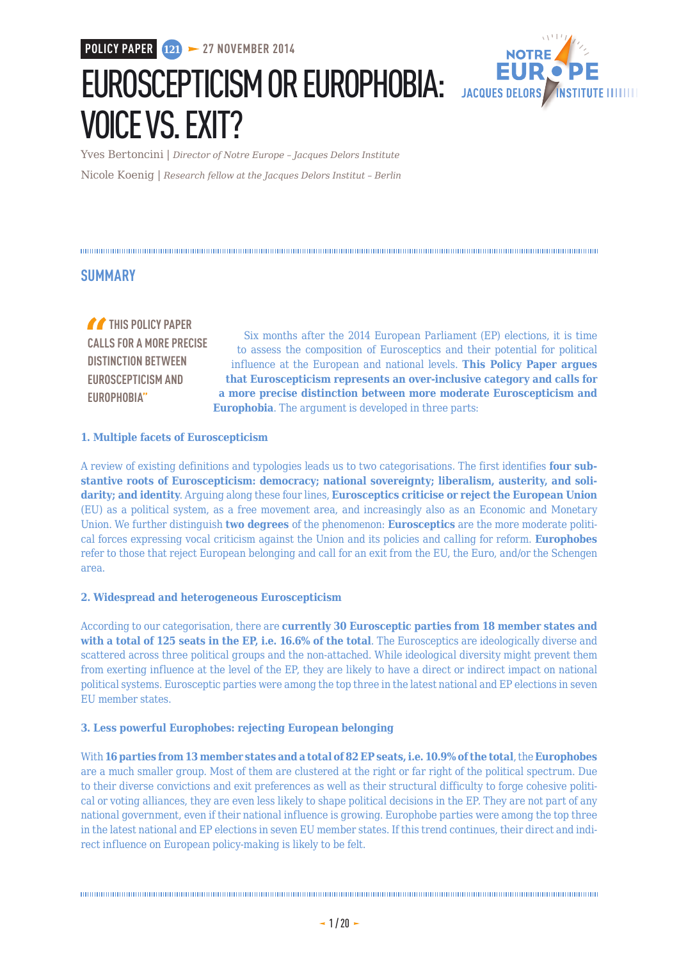**POLICY PAPER 121 27 NOVEMBER 2014**



EUROSCEPTICISM OR EUROPHOBIA: JACQUES DELORS VOICE VS. EXIT?

Yves Bertoncini | *Director of Notre Europe – Jacques Delors Institute* Nicole Koenig | *Research fellow at the Jacques Delors Institut – Berlin*

#### 

#### **SUMMARY**

*THIS POLICY PAPER* **CALLS FOR A MORE PRECISE DISTINCTION BETWEEN EUROSCEPTICISM AND EUROPHOBIA"**

Six months after the 2014 European Parliament (EP) elections, it is time to assess the composition of Eurosceptics and their potential for political influence at the European and national levels. **This Policy Paper argues that Euroscepticism represents an over-inclusive category and calls for a more precise distinction between more moderate Euroscepticism and Europhobia**. The argument is developed in three parts:

#### **1. Multiple facets of Euroscepticism**

A review of existing definitions and typologies leads us to two categorisations. The first identifies **four substantive roots of Euroscepticism: democracy; national sovereignty; liberalism, austerity, and solidarity; and identity**. Arguing along these four lines, **Eurosceptics criticise or reject the European Union** (EU) as a political system, as a free movement area, and increasingly also as an Economic and Monetary Union. We further distinguish **two degrees** of the phenomenon: **Eurosceptics** are the more moderate political forces expressing vocal criticism against the Union and its policies and calling for reform. **Europhobes** refer to those that reject European belonging and call for an exit from the EU, the Euro, and/or the Schengen area.

#### **2. Widespread and heterogeneous Euroscepticism**

According to our categorisation, there are **currently 30 Eurosceptic parties from 18 member states and with a total of 125 seats in the EP, i.e. 16.6% of the total**. The Eurosceptics are ideologically diverse and scattered across three political groups and the non-attached. While ideological diversity might prevent them from exerting influence at the level of the EP, they are likely to have a direct or indirect impact on national political systems. Eurosceptic parties were among the top three in the latest national and EP elections in seven EU member states.

#### **3. Less powerful Europhobes: rejecting European belonging**

With **16 parties from 13 member states and a total of 82 EP seats, i.e. 10.9% of the total**, the **Europhobes** are a much smaller group. Most of them are clustered at the right or far right of the political spectrum. Due to their diverse convictions and exit preferences as well as their structural difficulty to forge cohesive political or voting alliances, they are even less likely to shape political decisions in the EP. They are not part of any national government, even if their national influence is growing. Europhobe parties were among the top three in the latest national and EP elections in seven EU member states. If this trend continues, their direct and indirect influence on European policy-making is likely to be felt.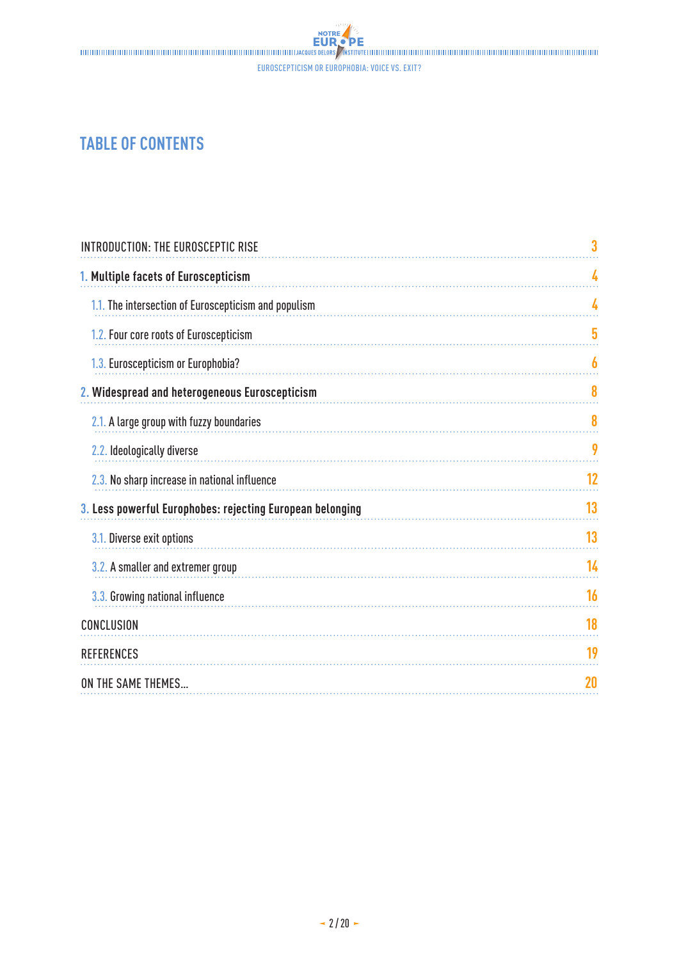## **TABLE OF CONTENTS**

| <b>INTRODUCTION: THE EUROSCEPTIC RISE</b>                 | 3  |
|-----------------------------------------------------------|----|
| 1. Multiple facets of Euroscepticism                      | 4  |
| 1.1. The intersection of Euroscepticism and populism      | 4  |
| 1.2. Four core roots of Euroscepticism                    | 5  |
| 1.3. Euroscepticism or Europhobia?                        | 6  |
| 2. Widespread and heterogeneous Euroscepticism            | 8  |
| 2.1. A large group with fuzzy boundaries                  | 8  |
| 2.2. Ideologically diverse                                | 9  |
| 2.3. No sharp increase in national influence              | 12 |
| 3. Less powerful Europhobes: rejecting European belonging | 13 |
| 3.1. Diverse exit options                                 | 13 |
| 3.2. A smaller and extremer group                         | 14 |
| 3.3. Growing national influence                           | 16 |
| CONCLUSION                                                | 18 |
| <b>REFERENCES</b>                                         | 19 |
| ON THE SAME THEMES                                        | 20 |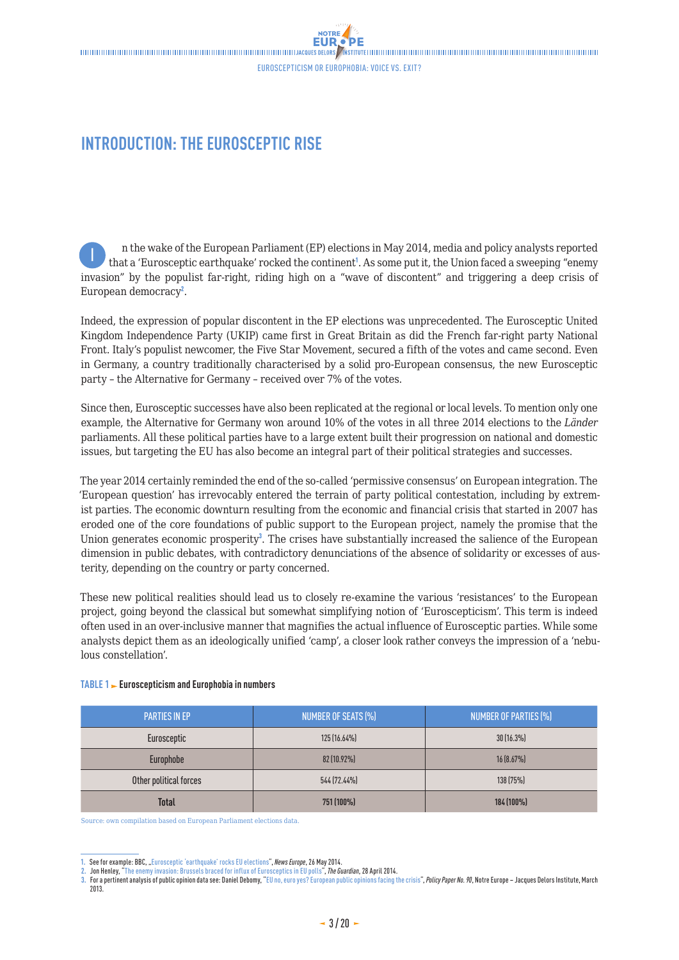### <span id="page-2-0"></span>**INTRODUCTION: THE EUROSCEPTIC RISE**

n the wake of the European Parliament (EP) elections in May 2014, media and policy analysts reported that a 'Eurosceptic earthquake' rocked the continent<sup>1</sup>. As some put it, the Union faced a sweeping "enemy invasion" by the populist far-right, riding high on a "wave of discontent" and triggering a deep crisis of European democracy<sup>2</sup>. I

Indeed, the expression of popular discontent in the EP elections was unprecedented. The Eurosceptic United Kingdom Independence Party (UKIP) came first in Great Britain as did the French far-right party National Front. Italy's populist newcomer, the Five Star Movement, secured a fifth of the votes and came second. Even in Germany, a country traditionally characterised by a solid pro-European consensus, the new Eurosceptic party – the Alternative for Germany – received over 7% of the votes.

Since then, Eurosceptic successes have also been replicated at the regional or local levels. To mention only one example, the Alternative for Germany won around 10% of the votes in all three 2014 elections to the *Länder* parliaments. All these political parties have to a large extent built their progression on national and domestic issues, but targeting the EU has also become an integral part of their political strategies and successes.

The year 2014 certainly reminded the end of the so-called 'permissive consensus' on European integration. The 'European question' has irrevocably entered the terrain of party political contestation, including by extremist parties. The economic downturn resulting from the economic and financial crisis that started in 2007 has eroded one of the core foundations of public support to the European project, namely the promise that the Union generates economic prosperity<sup>3</sup>. The crises have substantially increased the salience of the European dimension in public debates, with contradictory denunciations of the absence of solidarity or excesses of austerity, depending on the country or party concerned.

These new political realities should lead us to closely re-examine the various 'resistances' to the European project, going beyond the classical but somewhat simplifying notion of 'Euroscepticism'. This term is indeed often used in an over-inclusive manner that magnifies the actual influence of Eurosceptic parties. While some analysts depict them as an ideologically unified 'camp', a closer look rather conveys the impression of a 'nebulous constellation'.

| <b>PARTIES IN EP</b>   | <b>NUMBER OF SEATS (%)</b> | <b>NUMBER OF PARTIES (%)</b> |
|------------------------|----------------------------|------------------------------|
| Eurosceptic            | $125(16.64\%)$             | $30(16.3\%)$                 |
| Europhobe              | 82 (10.92%)                | 16 (8.67%)                   |
| Other political forces | 544 (72.44%)               | 138 (75%)                    |
| <b>Total</b>           | 751 (100%)                 | 184 (100%)                   |

#### **TABLE 1 Euroscepticism and Europhobia in numbers**

Source: own compilation based on European Parliament elections data.

**<sup>1.</sup>** See for example: BBC, "[Eurosceptic 'earthquake' rocks EU elections"](http://www.bbc.com/news/world-europe-27559714), *News Europe*, 26 May 2014.

**<sup>2.</sup>** Jon Henley, ["The enemy invasion: Brussels braced for influx of Eurosceptics in EU polls](http://www.theguardian.com/world/2014/apr/28/brussels-braced-influx-eurosceptics-parties-european-union-polls)", *The Guardian*, 28 April 2014.

**<sup>3.</sup>** For a pertinent analysis of public opinion data see: Daniel Debomy, ["EU no, euro yes? European public opinions facing the crisis"](http://www.eng.notre-europe.eu/011-15775-EU-no-euro-yes.html), *Policy Paper No. 90*, Notre Europe – Jacques Delors Institute, March 2013.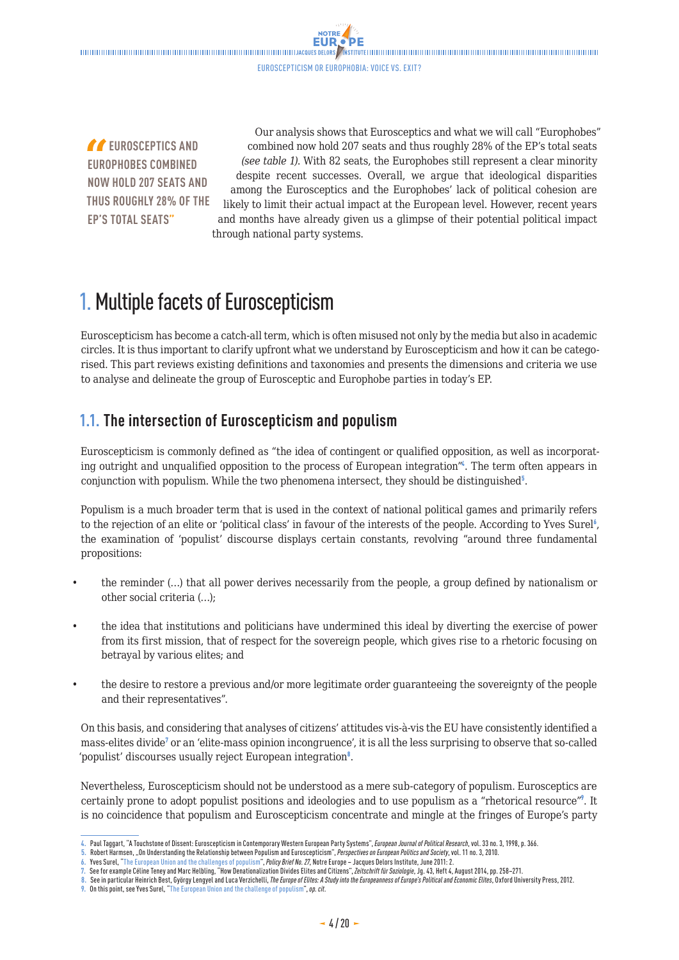**NOTRE** 

<span id="page-3-0"></span>*f* EUROSCEPTICS AND **EUROPHOBES COMBINED NOW HOLD 207 SEATS AND THUS ROUGHLY 28% OF THE EP'S TOTAL SEATS"**

Our analysis shows that Eurosceptics and what we will call "Europhobes" combined now hold 207 seats and thus roughly 28% of the EP's total seats *(see table 1)*. With 82 seats, the Europhobes still represent a clear minority despite recent successes. Overall, we argue that ideological disparities among the Eurosceptics and the Europhobes' lack of political cohesion are likely to limit their actual impact at the European level. However, recent years and months have already given us a glimpse of their potential political impact through national party systems.

## 1. Multiple facets of Euroscepticism

Euroscepticism has become a catch-all term, which is often misused not only by the media but also in academic circles. It is thus important to clarify upfront what we understand by Euroscepticism and how it can be categorised. This part reviews existing definitions and taxonomies and presents the dimensions and criteria we use to analyse and delineate the group of Eurosceptic and Europhobe parties in today's EP.

### **1.1. The intersection of Euroscepticism and populism**

Euroscepticism is commonly defined as "the idea of contingent or qualified opposition, as well as incorporating outright and unqualified opposition to the process of European integration<sup>"4</sup>. The term often appears in conjunction with populism. While the two phenomena intersect, they should be distinguished $5$ .

Populism is a much broader term that is used in the context of national political games and primarily refers to the rejection of an elite or 'political class' in favour of the interests of the people. According to Yves Surel<sup>6</sup>, the examination of 'populist' discourse displays certain constants, revolving "around three fundamental propositions:

- the reminder (…) that all power derives necessarily from the people, a group defined by nationalism or other social criteria (…);
- the idea that institutions and politicians have undermined this ideal by diverting the exercise of power from its first mission, that of respect for the sovereign people, which gives rise to a rhetoric focusing on betrayal by various elites; and
- the desire to restore a previous and/or more legitimate order guaranteeing the sovereignty of the people and their representatives".

On this basis, and considering that analyses of citizens' attitudes vis-à-vis the EU have consistently identified a mass-elites divide<sup>7</sup> or an 'elite-mass opinion incongruence', it is all the less surprising to observe that so-called 'populist' discourses usually reject European integration<sup>8</sup>.

Nevertheless, Euroscepticism should not be understood as a mere sub-category of populism. Eurosceptics are certainly prone to adopt populist positions and ideologies and to use populism as a "rhetorical resource"<sup>9</sup>. It is no coincidence that populism and Euroscepticism concentrate and mingle at the fringes of Europe's party

**<sup>4.</sup>** Paul Taggart, "A Touchstone of Dissent: Euroscepticism in Contemporary Western European Party Systems", *European Journal of Political Research*, vol. 33 no. 3, 1998, p. 366.

**<sup>5.</sup>** Robert Harmsen, "On Understanding the Relationship between Populism and Euroscepticism", *Perspectives on European Politics and Society*, vol. 11 no. 3, 2010.

<sup>6.</sup> Yves Surel, ["The European Union and the challenges of populism](http://www.eng.notre-europe.eu/011-2703-The-European-Union-and-the-challenges-of-populism.html)", *Policy Brief No. 27*, Notre Europe – Jacques Delors Institute, June 2011: 2.<br>7. See for example Céline Teney and Marc Helbling, "How Denationalization D

**<sup>8.</sup>** See in particular Heinrich Best, György Lengyel and Luca Verzichelli, *The Europe of Elites: A Study into the Europeanness of Europe's Political and Economic Elites*, Oxford University Press, 2012.

**<sup>9.</sup>** On this point, see Yves Surel, "[The European Union and the challenge of populism](http://www.eng.notre-europe.eu/011-2703-The-European-Union-and-the-challenges-of-populism.html)", *op. cit*.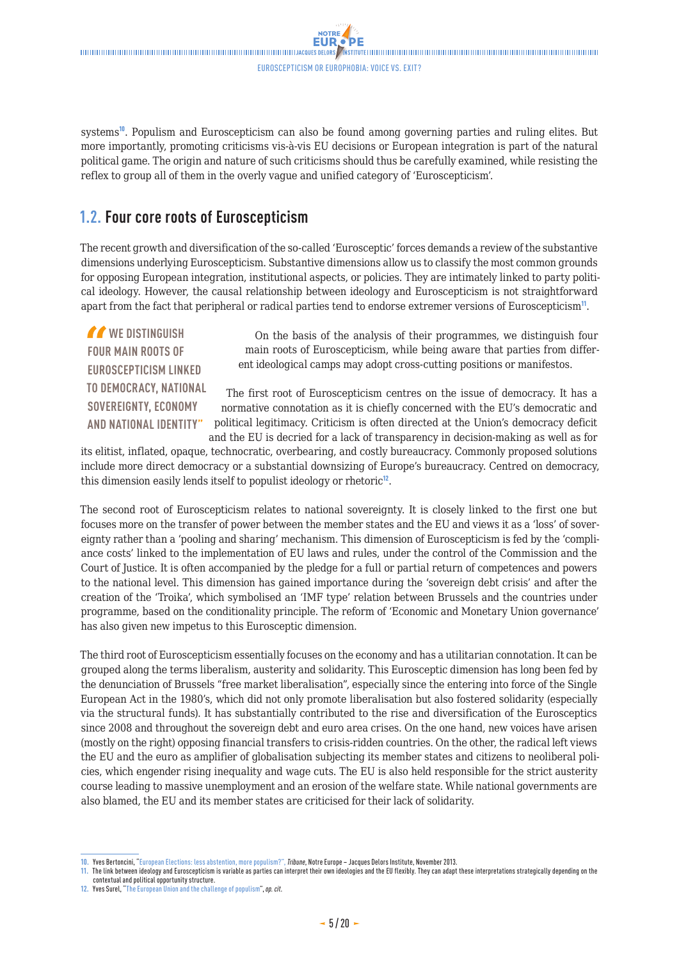<span id="page-4-0"></span> $\blacksquare$ Euroscepticism or Europhobia: voice vs. exit?

NOTRE

systems<sup>10</sup>. Populism and Euroscepticism can also be found among governing parties and ruling elites. But more importantly, promoting criticisms vis-à-vis EU decisions or European integration is part of the natural political game. The origin and nature of such criticisms should thus be carefully examined, while resisting the reflex to group all of them in the overly vague and unified category of 'Euroscepticism'.

### **1.2. Four core roots of Euroscepticism**

The recent growth and diversification of the so-called 'Eurosceptic' forces demands a review of the substantive dimensions underlying Euroscepticism. Substantive dimensions allow us to classify the most common grounds for opposing European integration, institutional aspects, or policies. They are intimately linked to party political ideology. However, the causal relationship between ideology and Euroscepticism is not straightforward apart from the fact that peripheral or radical parties tend to endorse extremer versions of Euroscepticism<sup>11</sup>.

*M* WE DISTINGUISH **FOUR MAIN ROOTS OF EUROSCEPTICISM LINKED TO DEMOCRACY, NATIONAL SOVEREIGNTY, ECONOMY AND NATIONAL IDENTITY"**

On the basis of the analysis of their programmes, we distinguish four main roots of Euroscepticism, while being aware that parties from different ideological camps may adopt cross-cutting positions or manifestos.

The first root of Euroscepticism centres on the issue of democracy. It has a normative connotation as it is chiefly concerned with the EU's democratic and political legitimacy. Criticism is often directed at the Union's democracy deficit and the EU is decried for a lack of transparency in decision-making as well as for

its elitist, inflated, opaque, technocratic, overbearing, and costly bureaucracy. Commonly proposed solutions include more direct democracy or a substantial downsizing of Europe's bureaucracy. Centred on democracy, this dimension easily lends itself to populist ideology or rhetoric<sup>12</sup>.

The second root of Euroscepticism relates to national sovereignty. It is closely linked to the first one but focuses more on the transfer of power between the member states and the EU and views it as a 'loss' of sovereignty rather than a 'pooling and sharing' mechanism. This dimension of Euroscepticism is fed by the 'compliance costs' linked to the implementation of EU laws and rules, under the control of the Commission and the Court of Justice. It is often accompanied by the pledge for a full or partial return of competences and powers to the national level. This dimension has gained importance during the 'sovereign debt crisis' and after the creation of the 'Troika', which symbolised an 'IMF type' relation between Brussels and the countries under programme, based on the conditionality principle. The reform of 'Economic and Monetary Union governance' has also given new impetus to this Eurosceptic dimension.

The third root of Euroscepticism essentially focuses on the economy and has a utilitarian connotation. It can be grouped along the terms liberalism, austerity and solidarity. This Eurosceptic dimension has long been fed by the denunciation of Brussels "free market liberalisation", especially since the entering into force of the Single European Act in the 1980's, which did not only promote liberalisation but also fostered solidarity (especially via the structural funds). It has substantially contributed to the rise and diversification of the Eurosceptics since 2008 and throughout the sovereign debt and euro area crises. On the one hand, new voices have arisen (mostly on the right) opposing financial transfers to crisis-ridden countries. On the other, the radical left views the EU and the euro as amplifier of globalisation subjecting its member states and citizens to neoliberal policies, which engender rising inequality and wage cuts. The EU is also held responsible for the strict austerity course leading to massive unemployment and an erosion of the welfare state. While national governments are also blamed, the EU and its member states are criticised for their lack of solidarity.

**<sup>10.</sup>** Yves Bertoncini, ["European Elections: less abstention, more populism?",](http://www.eng.notre-europe.eu/011-17103-Elections-europeennes-moins-d-abstention-plus-de-populisme.html) *Tribune*, Notre Europe – Jacques Delors Institute, November 2013.

**<sup>11.</sup>** The link between ideology and Euroscepticism is variable as parties can interpret their own ideologies and the EU flexibly. They can adapt these interpretations strategically depending on the contextual and political opportunity structure.

**<sup>12.</sup>** Yves Surel, "[The European Union and the challenge of populism"](http://www.eng.notre-europe.eu/011-2703-The-European-Union-and-the-challenges-of-populism.html), *op. cit*.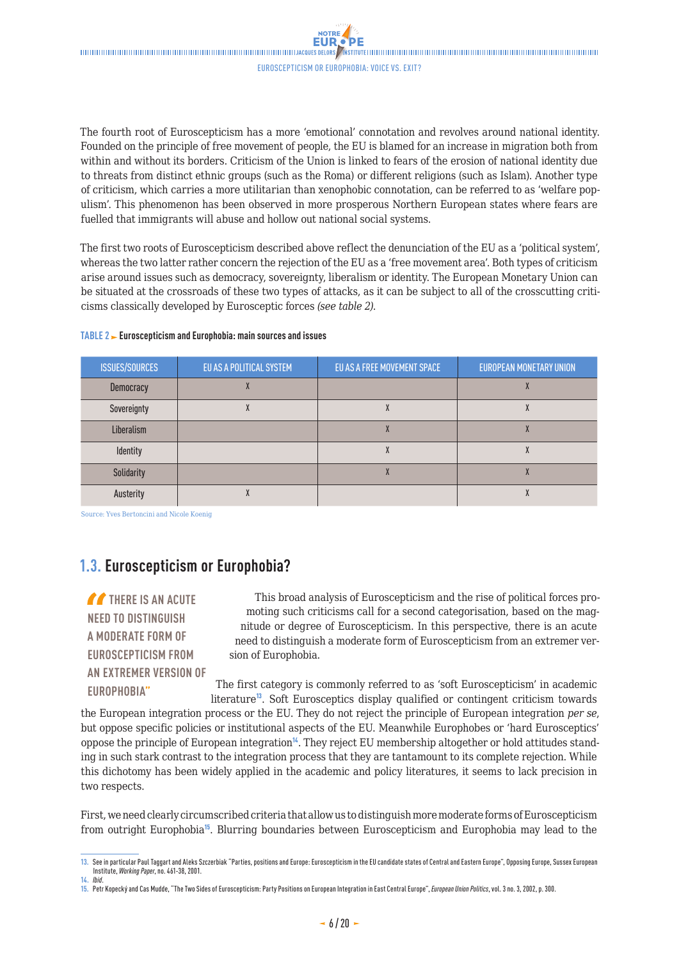NOTRE

<span id="page-5-0"></span>The fourth root of Euroscepticism has a more 'emotional' connotation and revolves around national identity. Founded on the principle of free movement of people, the EU is blamed for an increase in migration both from within and without its borders. Criticism of the Union is linked to fears of the erosion of national identity due to threats from distinct ethnic groups (such as the Roma) or different religions (such as Islam). Another type of criticism, which carries a more utilitarian than xenophobic connotation, can be referred to as 'welfare populism'. This phenomenon has been observed in more prosperous Northern European states where fears are fuelled that immigrants will abuse and hollow out national social systems.

The first two roots of Euroscepticism described above reflect the denunciation of the EU as a 'political system', whereas the two latter rather concern the rejection of the EU as a 'free movement area'. Both types of criticism arise around issues such as democracy, sovereignty, liberalism or identity. The European Monetary Union can be situated at the crossroads of these two types of attacks, as it can be subject to all of the crosscutting criticisms classically developed by Eurosceptic forces *(see table 2)*.

| <b>ISSUES/SOURCES</b> | EU AS A POLITICAL SYSTEM | EU AS A FREE MOVEMENT SPACE | <b>EUROPEAN MONETARY UNION</b> |
|-----------------------|--------------------------|-----------------------------|--------------------------------|
| Democracy             |                          |                             |                                |
| Sovereignty           |                          |                             | Λ                              |
| Liberalism            |                          |                             |                                |
| Identity              |                          |                             |                                |
| Solidarity            |                          | Λ                           | Λ                              |
| Austerity             |                          |                             |                                |

#### **TABLE 2 Euroscepticism and Europhobia: main sources and issues**

Source: Yves Bertoncini and Nicole Koenig

### **1.3. Euroscepticism or Europhobia?**

**THERE IS AN ACUTE NEED TO DISTINGUISH A MODERATE FORM OF EUROSCEPTICISM FROM AN EXTREMER VERSION OF EUROPHOBIA"**

This broad analysis of Euroscepticism and the rise of political forces promoting such criticisms call for a second categorisation, based on the magnitude or degree of Euroscepticism. In this perspective, there is an acute need to distinguish a moderate form of Euroscepticism from an extremer version of Europhobia.

The first category is commonly referred to as 'soft Euroscepticism' in academic literature<sup>13</sup>. Soft Eurosceptics display qualified or contingent criticism towards

the European integration process or the EU. They do not reject the principle of European integration *per se*, but oppose specific policies or institutional aspects of the EU. Meanwhile Europhobes or 'hard Eurosceptics' oppose the principle of European integration<sup>14</sup>. They reject EU membership altogether or hold attitudes standing in such stark contrast to the integration process that they are tantamount to its complete rejection. While this dichotomy has been widely applied in the academic and policy literatures, it seems to lack precision in two respects.

First, we need clearly circumscribed criteria that allow us to distinguish more moderate forms of Euroscepticism from outright Europhobia<sup>15</sup>. Blurring boundaries between Euroscepticism and Europhobia may lead to the

<sup>13.</sup> See in particular Paul Taggart and Aleks Szczerbiak "Parties, positions and Europe: Euroscepticism in the EU candidate states of Central and Eastern Europe", Opposing Europe, Sussex European Institute, *Working Paper*, no. 461-38, 2001. **14.** *Ibid*.

**<sup>15.</sup>** Petr Kopecký and Cas Mudde, "The Two Sides of Euroscepticism: Party Positions on European Integration in East Central Europe", *European Union Politics*, vol. 3 no. 3, 2002, p. 300.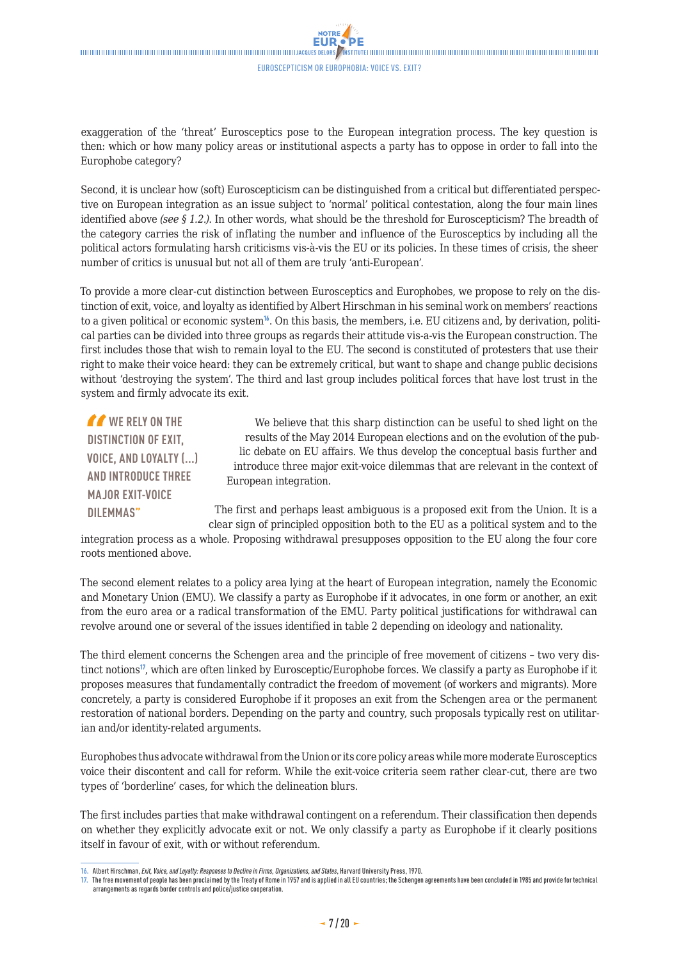exaggeration of the 'threat' Eurosceptics pose to the European integration process. The key question is then: which or how many policy areas or institutional aspects a party has to oppose in order to fall into the Europhobe category?

Second, it is unclear how (soft) Euroscepticism can be distinguished from a critical but differentiated perspective on European integration as an issue subject to 'normal' political contestation, along the four main lines identified above *(see § 1.2.)*. In other words, what should be the threshold for Euroscepticism? The breadth of the category carries the risk of inflating the number and influence of the Eurosceptics by including all the political actors formulating harsh criticisms vis-à-vis the EU or its policies. In these times of crisis, the sheer number of critics is unusual but not all of them are truly 'anti-European'.

To provide a more clear-cut distinction between Eurosceptics and Europhobes, we propose to rely on the distinction of exit, voice, and loyalty as identified by Albert Hirschman in his seminal work on members' reactions to a given political or economic system<sup>16</sup>. On this basis, the members, i.e. EU citizens and, by derivation, political parties can be divided into three groups as regards their attitude vis-a-vis the European construction. The first includes those that wish to remain loyal to the EU. The second is constituted of protesters that use their right to make their voice heard: they can be extremely critical, but want to shape and change public decisions without 'destroying the system'. The third and last group includes political forces that have lost trust in the system and firmly advocate its exit.

*I* WE RELY ON THE **DISTINCTION OF EXIT, VOICE, AND LOYALTY (...) AND INTRODUCE THREE MAJOR EXIT-VOICE DILEMMAS"**

We believe that this sharp distinction can be useful to shed light on the results of the May 2014 European elections and on the evolution of the public debate on EU affairs. We thus develop the conceptual basis further and introduce three major exit-voice dilemmas that are relevant in the context of European integration.

The first and perhaps least ambiguous is a proposed exit from the Union. It is a clear sign of principled opposition both to the EU as a political system and to the

integration process as a whole. Proposing withdrawal presupposes opposition to the EU along the four core roots mentioned above.

The second element relates to a policy area lying at the heart of European integration, namely the Economic and Monetary Union (EMU). We classify a party as Europhobe if it advocates, in one form or another, an exit from the euro area or a radical transformation of the EMU. Party political justifications for withdrawal can revolve around one or several of the issues identified in table 2 depending on ideology and nationality.

The third element concerns the Schengen area and the principle of free movement of citizens – two very distinct notions<sup>17</sup>, which are often linked by Eurosceptic/Europhobe forces. We classify a party as Europhobe if it proposes measures that fundamentally contradict the freedom of movement (of workers and migrants). More concretely, a party is considered Europhobe if it proposes an exit from the Schengen area or the permanent restoration of national borders. Depending on the party and country, such proposals typically rest on utilitarian and/or identity-related arguments.

Europhobes thus advocate withdrawal from the Union or its core policy areas while more moderate Eurosceptics voice their discontent and call for reform. While the exit-voice criteria seem rather clear-cut, there are two types of 'borderline' cases, for which the delineation blurs.

The first includes parties that make withdrawal contingent on a referendum. Their classification then depends on whether they explicitly advocate exit or not. We only classify a party as Europhobe if it clearly positions itself in favour of exit, with or without referendum.

**<sup>16.</sup>** Albert Hirschman, *Exit, Voice, and Loyalty: Responses to Decline in Firms, Organizations, and States*, Harvard University Press, 1970.

**<sup>17.</sup>** The free movement of people has been proclaimed by the Treaty of Rome in 1957 and is applied in all EU countries; the Schengen agreements have been concluded in 1985 and provide for technical arrangements as regards border controls and police/justice cooperation.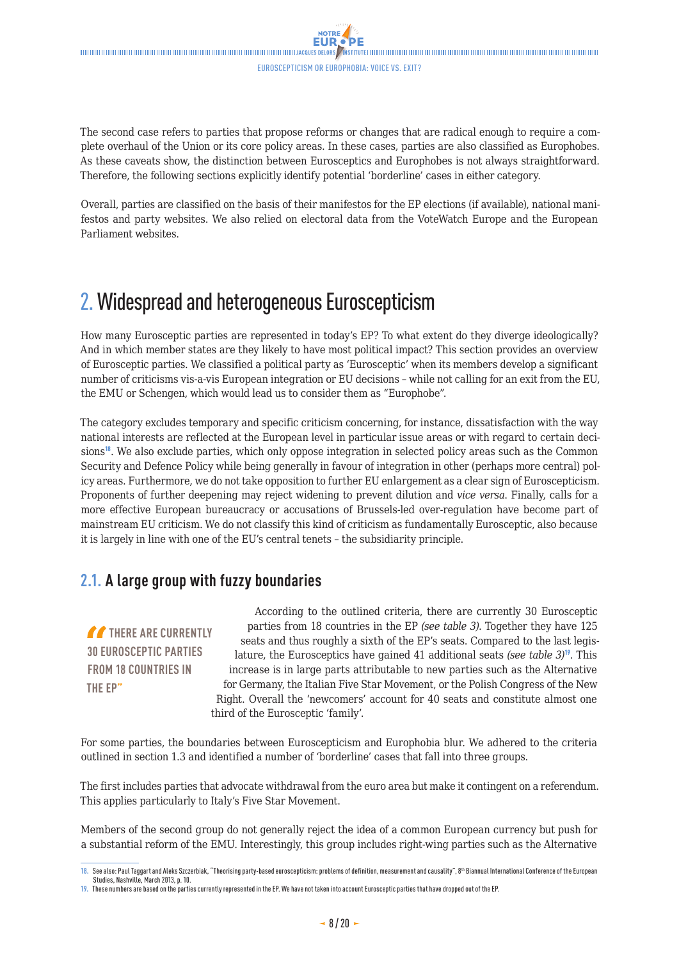<span id="page-7-0"></span>The second case refers to parties that propose reforms or changes that are radical enough to require a complete overhaul of the Union or its core policy areas. In these cases, parties are also classified as Europhobes. As these caveats show, the distinction between Eurosceptics and Europhobes is not always straightforward. Therefore, the following sections explicitly identify potential 'borderline' cases in either category.

Overall, parties are classified on the basis of their manifestos for the EP elections (if available), national manifestos and party websites. We also relied on electoral data from the VoteWatch Europe and the European Parliament websites.

## 2. Widespread and heterogeneous Euroscepticism

How many Eurosceptic parties are represented in today's EP? To what extent do they diverge ideologically? And in which member states are they likely to have most political impact? This section provides an overview of Eurosceptic parties. We classified a political party as 'Eurosceptic' when its members develop a significant number of criticisms vis-a-vis European integration or EU decisions – while not calling for an exit from the EU, the EMU or Schengen, which would lead us to consider them as "Europhobe".

The category excludes temporary and specific criticism concerning, for instance, dissatisfaction with the way national interests are reflected at the European level in particular issue areas or with regard to certain decisions<sup>18</sup>. We also exclude parties, which only oppose integration in selected policy areas such as the Common Security and Defence Policy while being generally in favour of integration in other (perhaps more central) policy areas. Furthermore, we do not take opposition to further EU enlargement as a clear sign of Euroscepticism. Proponents of further deepening may reject widening to prevent dilution and *vice versa*. Finally, calls for a more effective European bureaucracy or accusations of Brussels-led over-regulation have become part of mainstream EU criticism. We do not classify this kind of criticism as fundamentally Eurosceptic, also because it is largely in line with one of the EU's central tenets – the subsidiarity principle.

### **2.1. A large group with fuzzy boundaries**

**THERE ARE CURRENTLY 30 EUROSCEPTIC PARTIES FROM 18 COUNTRIES IN THE EP"**

According to the outlined criteria, there are currently 30 Eurosceptic parties from 18 countries in the EP *(see table 3)*. Together they have 125 seats and thus roughly a sixth of the EP's seats. Compared to the last legislature, the Eurosceptics have gained 41 additional seats *(see table 3)*<sup>19</sup>. This increase is in large parts attributable to new parties such as the Alternative for Germany, the Italian Five Star Movement, or the Polish Congress of the New Right. Overall the 'newcomers' account for 40 seats and constitute almost one third of the Eurosceptic 'family'.

For some parties, the boundaries between Euroscepticism and Europhobia blur. We adhered to the criteria outlined in section 1.3 and identified a number of 'borderline' cases that fall into three groups.

The first includes parties that advocate withdrawal from the euro area but make it contingent on a referendum. This applies particularly to Italy's Five Star Movement.

Members of the second group do not generally reject the idea of a common European currency but push for a substantial reform of the EMU. Interestingly, this group includes right-wing parties such as the Alternative

**<sup>18.</sup>** See also: Paul Taggart and Aleks Szczerbiak, "Theorising party-based euroscepticism: problems of definition, measurement and causality", 8th Biannual International Conference of the European Studies, Nashville, March 2013, p. 10.

**<sup>19.</sup>** These numbers are based on the parties currently represented in the EP. We have not taken into account Eurosceptic parties that have dropped out of the EP.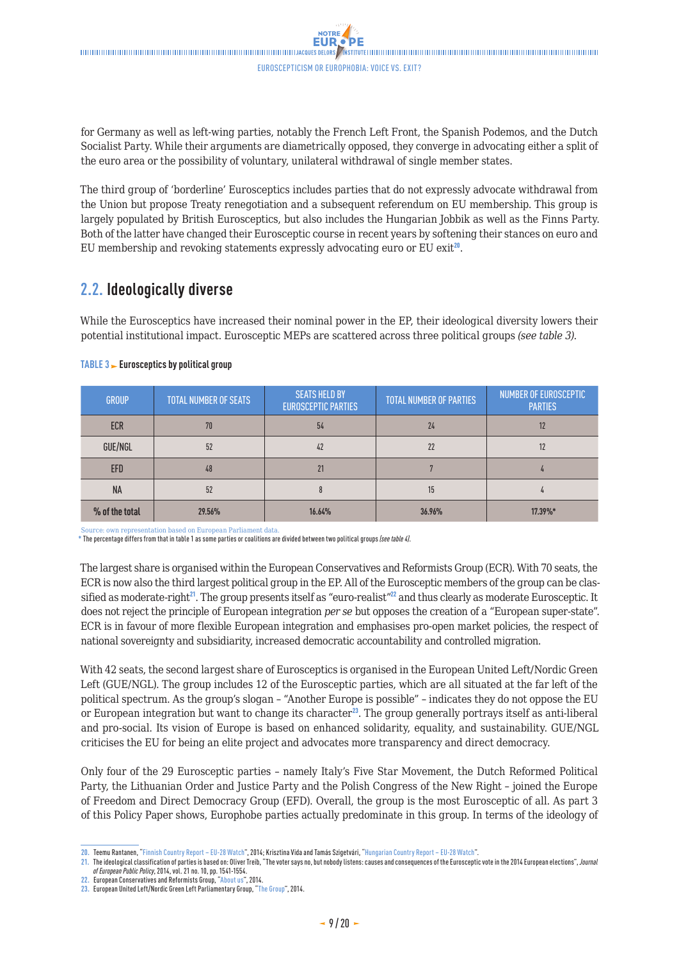<span id="page-8-0"></span> $\blacksquare$ Euroscepticism or Europhobia: voice vs. exit?

**NOTRE** 

for Germany as well as left-wing parties, notably the French Left Front, the Spanish Podemos, and the Dutch Socialist Party. While their arguments are diametrically opposed, they converge in advocating either a split of the euro area or the possibility of voluntary, unilateral withdrawal of single member states.

The third group of 'borderline' Eurosceptics includes parties that do not expressly advocate withdrawal from the Union but propose Treaty renegotiation and a subsequent referendum on EU membership. This group is largely populated by British Eurosceptics, but also includes the Hungarian Jobbik as well as the Finns Party. Both of the latter have changed their Eurosceptic course in recent years by softening their stances on euro and EU membership and revoking statements expressly advocating euro or EU exit $^{20}$ .

### **2.2. Ideologically diverse**

While the Eurosceptics have increased their nominal power in the EP, their ideological diversity lowers their potential institutional impact. Eurosceptic MEPs are scattered across three political groups *(see table 3)*.

| <b>GROUP</b>   | <b>TOTAL NUMBER OF SEATS</b> | <b>SEATS HELD BY</b><br><b>EUROSCEPTIC PARTIES</b> | <b>TOTAL NUMBER OF PARTIES</b> | <b>NUMBER OF EUROSCEPTIC</b><br><b>PARTIES</b> |
|----------------|------------------------------|----------------------------------------------------|--------------------------------|------------------------------------------------|
| <b>ECR</b>     | 70                           | 54                                                 | 24                             | 12                                             |
| GUE/NGL        | 52                           | 42                                                 | 22                             | 12                                             |
| <b>EFD</b>     | 48                           | 21                                                 |                                |                                                |
| <b>NA</b>      | 52                           | 8                                                  | 15                             |                                                |
| % of the total | 29.56%                       | 16.64%                                             | 36.96%                         | 17.39%*                                        |

#### **TABLE 3 Eurosceptics by political group**

Source: own representation based on European Parliament data.

**\*** The percentage differs from that in table 1 as some parties or coalitions are divided between two political groups *(see table 4)*.

The largest share is organised within the European Conservatives and Reformists Group (ECR). With 70 seats, the ECR is now also the third largest political group in the EP. All of the Eurosceptic members of the group can be classified as moderate-right $^{21}$ . The group presents itself as "euro-realist" $^{22}$  and thus clearly as moderate Eurosceptic. It does not reject the principle of European integration *per se* but opposes the creation of a "European super-state". ECR is in favour of more flexible European integration and emphasises pro-open market policies, the respect of national sovereignty and subsidiarity, increased democratic accountability and controlled migration.

With 42 seats, the second largest share of Eurosceptics is organised in the European United Left/Nordic Green Left (GUE/NGL). The group includes 12 of the Eurosceptic parties, which are all situated at the far left of the political spectrum. As the group's slogan – "Another Europe is possible" – indicates they do not oppose the EU or European integration but want to change its character<sup>23</sup>. The group generally portrays itself as anti-liberal and pro-social. Its vision of Europe is based on enhanced solidarity, equality, and sustainability. GUE/NGL criticises the EU for being an elite project and advocates more transparency and direct democracy.

Only four of the 29 Eurosceptic parties – namely Italy's Five Star Movement, the Dutch Reformed Political Party, the Lithuanian Order and Justice Party and the Polish Congress of the New Right – joined the Europe of Freedom and Direct Democracy Group (EFD). Overall, the group is the most Eurosceptic of all. As part 3 of this Policy Paper shows, Europhobe parties actually predominate in this group. In terms of the ideology of

**<sup>20.</sup>** Teemu Rantanen, ["Finnish Country Report – EU-28 Watch"](http://www.eu-28watch.org/?q=node/1153), 2014; Krisztina Vida and Tamás Szigetvári, "[Hungarian Country Report – EU-28 Watch](http://www.eu-28watch.org/?q=node/1204)".

**<sup>21.</sup>** The ideological classification of parties is based on: Oliver Treib, "The voter says no, but nobody listens: causes and consequences of the Eurosceptic vote in the 2014 European elections", *Journal of European Public Policy*, 2014, vol. 21 no. 10, pp. 1541-1554.

**<sup>22.</sup>** European Conservatives and Reformists Group, ["About us"](http://ecrgroup.eu/about-us/the-ecr-in-the-european-parliament/), 2014.

**<sup>23.</sup>** European United Left/Nordic Green Left Parliamentary Group, "[The Group"](http://www.guengl.eu/group/about), 2014.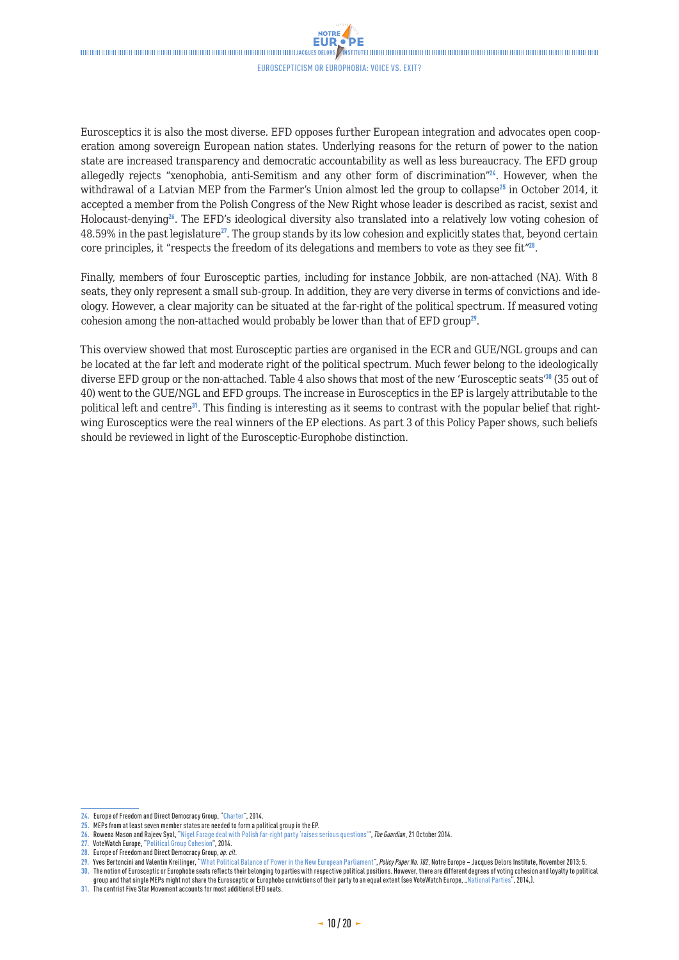**NOTRE** 

Eurosceptics it is also the most diverse. EFD opposes further European integration and advocates open cooperation among sovereign European nation states. Underlying reasons for the return of power to the nation state are increased transparency and democratic accountability as well as less bureaucracy. The EFD group allegedly rejects "xenophobia, anti-Semitism and any other form of discrimination"<sup>24</sup>. However, when the withdrawal of a Latvian MEP from the Farmer's Union almost led the group to collapse<sup>25</sup> in October 2014, it accepted a member from the Polish Congress of the New Right whose leader is described as racist, sexist and Holocaust-denying<sup>26</sup>. The EFD's ideological diversity also translated into a relatively low voting cohesion of  $48.59\%$  in the past legislature<sup>27</sup>. The group stands by its low cohesion and explicitly states that, beyond certain core principles, it "respects the freedom of its delegations and members to vote as they see fit"<sup>28</sup>.

Finally, members of four Eurosceptic parties, including for instance Jobbik, are non-attached (NA). With 8 seats, they only represent a small sub-group. In addition, they are very diverse in terms of convictions and ideology. However, a clear majority can be situated at the far-right of the political spectrum. If measured voting cohesion among the non-attached would probably be lower than that of EFD group<sup>29</sup>.

This overview showed that most Eurosceptic parties are organised in the ECR and GUE/NGL groups and can be located at the far left and moderate right of the political spectrum. Much fewer belong to the ideologically diverse EFD group or the non-attached. Table 4 also shows that most of the new 'Eurosceptic seats'<sup>30</sup> (35 out of 40) went to the GUE/NGL and EFD groups. The increase in Eurosceptics in the EP is largely attributable to the political left and centre<sup>31</sup>. This finding is interesting as it seems to contrast with the popular belief that rightwing Eurosceptics were the real winners of the EP elections. As part 3 of this Policy Paper shows, such beliefs should be reviewed in light of the Eurosceptic-Europhobe distinction.

**<sup>24.</sup>** Europe of Freedom and Direct Democracy Group, "[Charter"](http://www.efdgroup.eu/about-us/our-charter), 2014.

**<sup>25.</sup>** MEPs from at least seven member states are needed to form a political group in the EP.

**<sup>26.</sup>** Rowena Mason and Rajeev Syal, "[Nigel Farage deal with Polish far-right party 'raises serious questions'](http://www.theguardian.com/politics/2014/oct/21/nigel-farage-jews-polish-far-right-ukip-deal-robert-iwaszkiewicz)", *The Guardian*, 21 October 2014.

**<sup>27.</sup>** VoteWatch Europe, "[Political Group Cohesion](http://www.votewatch.eu/en/term8-political-group-cohesion.html)", 2014.

**<sup>28.</sup>** Europe of Freedom and Direct Democracy Group, *op. cit*.

**<sup>29.</sup>** Yves Bertoncini and Valentin Kreilinger, ["What Political Balance of Power in the New European Parliament"](http://www.eng.notre-europe.eu/011-17193-What-political-balance-of-power-in-the-next-European-Parliament.html), *Policy Paper No. 102*, Notre Europe – Jacques Delors Institute, November 2013: 5. **30.** The notion of Eurosceptic or Europhobe seats reflects their belonging to parties with respective political positions. However, there are different degrees of voting cohesion and loyalty to political

group and that single MEPs might not share the Eurosceptic or Europhobe convictions of their party to an equal extent (see VoteWatch Europe, ["National Parties](http://www.votewatch.eu/en/term8-political-group-cohesion.html)", 2014,).

**<sup>31.</sup>** The centrist Five Star Movement accounts for most additional EFD seats.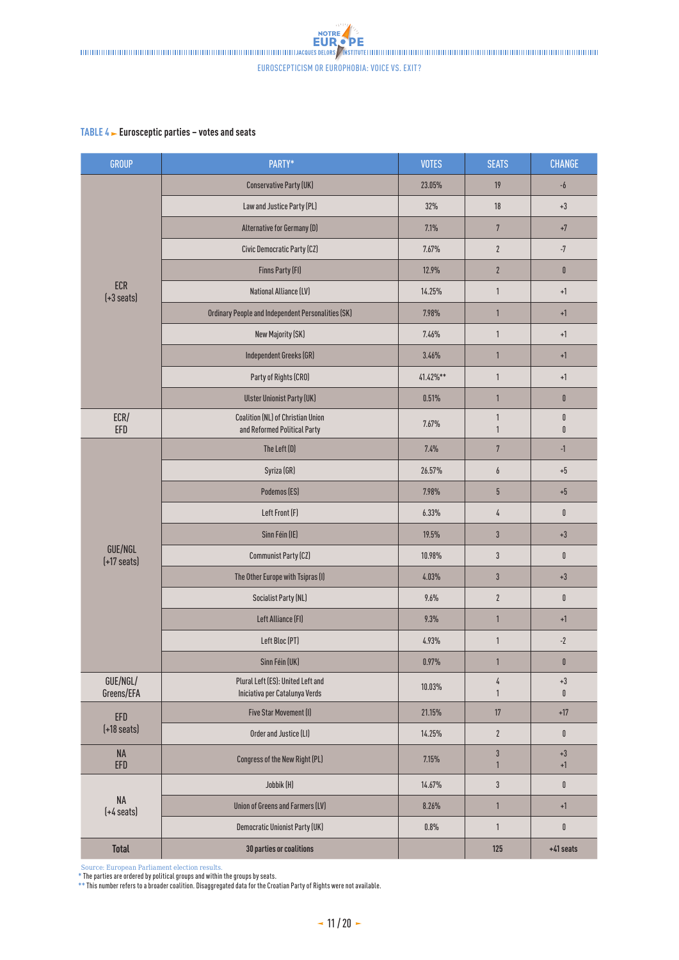#### **TABLE 4 Eurosceptic parties – votes and seats**

| GROUP                              | PARTY*                                                              | <b>VOTES</b> | <b>SEATS</b>                 | <b>CHANGE</b>                  |
|------------------------------------|---------------------------------------------------------------------|--------------|------------------------------|--------------------------------|
|                                    | <b>Conservative Party (UK)</b>                                      | 23.05%       | 19                           | $\textnormal{-}\pmb{b}$        |
|                                    | Law and Justice Party (PL)                                          | 32%          | 18                           | $+3$                           |
|                                    | Alternative for Germany (D)                                         | 7.1%         | $\sqrt{7}$                   | $\pm 7$                        |
|                                    | Civic Democratic Party (CZ)                                         | 7.67%        | $\overline{2}$               | $-7$                           |
|                                    | <b>Finns Party (FI)</b>                                             | 12.9%        | $\boldsymbol{2}$             | $\pmb{0}$                      |
| <b>ECR</b><br>$(+3 \text{ seats})$ | <b>National Alliance (LV)</b>                                       | 14.25%       | $\mathbf{1}$                 | $+1$                           |
|                                    | Ordinary People and Independent Personalities (SK)<br>7.98%         |              | $\mathbf{1}$                 | $+1$                           |
|                                    | New Majority (SK)                                                   | 7.46%        | $\mathbf{1}$                 | $+1$                           |
|                                    | Independent Greeks (GR)                                             | 3.46%        | $\mathbf{1}$                 | $+1$                           |
|                                    | Party of Rights (CRO)                                               | 41.42%**     | $\mathbf{1}$                 | $+1$                           |
|                                    | <b>Ulster Unionist Party (UK)</b>                                   | 0.51%        | $\mathbf{1}$                 | $\pmb{0}$                      |
| ECR/<br>EFD                        | Coalition (NL) of Christian Union<br>and Reformed Political Party   | 7.67%        | $\mathbf{1}$<br>$\mathbf{1}$ | $\pmb{0}$<br>$\pmb{0}$         |
|                                    | The Left (D)                                                        | 7.4%         | $\sqrt{7}$                   | $-1$                           |
|                                    | Syriza (GR)                                                         | 26.57%       | 6                            | $+5$                           |
|                                    | Podemos (ES)                                                        | 7.98%        | 5                            | $\pm 5$                        |
|                                    | Left Front (F)                                                      | 6.33%        | 4                            | $\pmb{0}$                      |
|                                    | Sinn Féin (IE)                                                      | 19.5%        | $\sqrt{3}$                   | $\bf +3$                       |
| GUE/NGL<br>$(+17 \text{ seats})$   | <b>Communist Party (CZ)</b>                                         | 10.98%       | $3\,$                        | $\pmb{0}$                      |
|                                    | The Other Europe with Tsipras (I)                                   | 4.03%        | 3                            | $\bf +3$                       |
|                                    | <b>Socialist Party (NL)</b>                                         | 9.6%         | $\boldsymbol{2}$             | $\pmb{0}$                      |
|                                    | Left Alliance (FI)                                                  | 9.3%         | $\mathbf{1}$                 | $+1$                           |
|                                    | Left Bloc (PT)                                                      | 4.93%        | $\mathbf{1}$                 | $\textnormal{-}2$              |
|                                    | Sinn Féin (UK)                                                      | 0.97%        | $\mathbf{1}$                 | $\pmb{0}$                      |
| GUE/NGL/<br>Greens/EFA             | Plural Left (ES): United Left and<br>Iniciativa per Catalunya Verds | 10.03%       | 4<br>$\mathbf{1}$            | $+3$<br>0                      |
| EFD                                | Five Star Movement (I)                                              | 21.15%       | 17                           | $+17$                          |
| $(+18 \text{ seats})$              | Order and Justice (LI)                                              | 14.25%       | $\mathbf{2}$                 | $\pmb{0}$                      |
| NA<br>EFD                          | Congress of the New Right (PL)                                      | 7.15%        | 3<br>$\mathbf{1}$            | $\bf +3$<br>$+1$               |
|                                    | Jobbik (H)                                                          | 14.67%       | 3                            | $\pmb{0}$                      |
| NA<br>$(+4$ seats)                 | Union of Greens and Farmers (LV)                                    | 8.26%        | $\mathbf{1}$                 | $\textcolor{red}{\textbf{+}}1$ |
|                                    | Democratic Unionist Party (UK)                                      | $0.8\%$      | $\mathbf{1}$                 | $\mathbf 0$                    |
| <b>Total</b>                       | 30 parties or coalitions                                            |              | 125                          | $+41$ seats                    |

Source: European Parliament election results. **\*** The parties are ordered by political groups and within the groups by seats.

**\*\*** This number refers to a broader coalition. Disaggregated data for the Croatian Party of Rights were not available.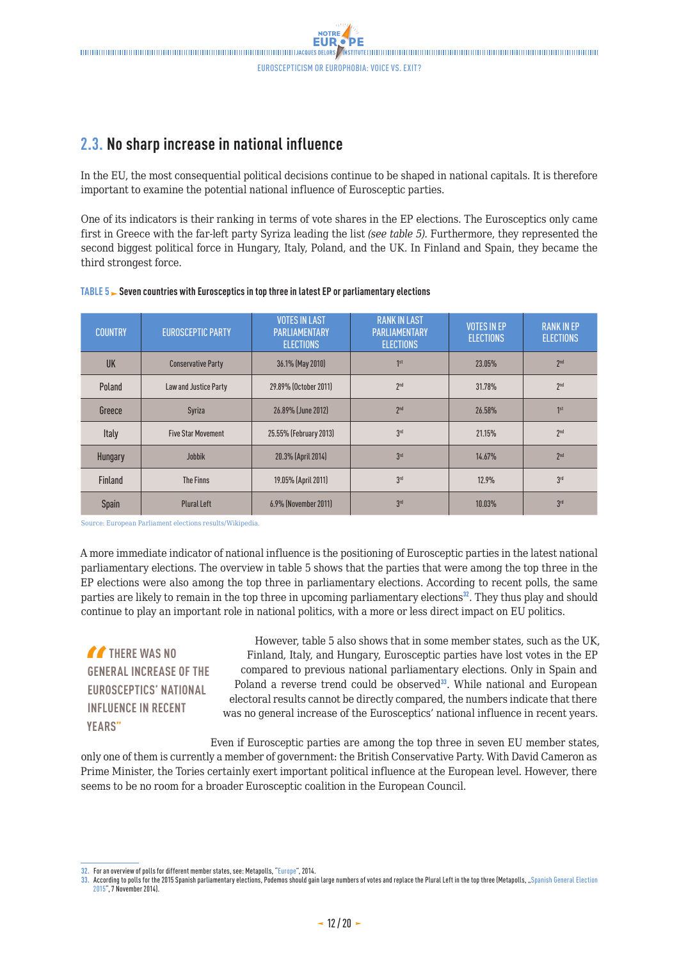### <span id="page-11-0"></span>**2.3. No sharp increase in national influence**

In the EU, the most consequential political decisions continue to be shaped in national capitals. It is therefore important to examine the potential national influence of Eurosceptic parties.

One of its indicators is their ranking in terms of vote shares in the EP elections. The Eurosceptics only came first in Greece with the far-left party Syriza leading the list *(see table 5)*. Furthermore, they represented the second biggest political force in Hungary, Italy, Poland, and the UK. In Finland and Spain, they became the third strongest force.

| <b>COUNTRY</b> | <b>EUROSCEPTIC PARTY</b>  | <b>VOTES IN LAST</b><br><b>PARLIAMENTARY</b><br><b>ELECTIONS</b> | <b>RANK IN LAST</b><br><b>PARLIAMENTARY</b><br><b>ELECTIONS</b> | <b>VOTES IN EP</b><br><b>ELECTIONS</b> | <b>RANK IN EP</b><br><b>ELECTIONS</b> |
|----------------|---------------------------|------------------------------------------------------------------|-----------------------------------------------------------------|----------------------------------------|---------------------------------------|
| UK             | <b>Conservative Party</b> | 36.1% (May 2010)                                                 | 1 <sup>st</sup>                                                 | 23.05%                                 | 2 <sup>nd</sup>                       |
| Poland         | Law and Justice Party     | 29.89% (October 2011)                                            | 2 <sup>nd</sup>                                                 | 31.78%                                 | 2 <sup>nd</sup>                       |
| Greece         | Syriza                    | 26.89% (June 2012)                                               | 2 <sup>nd</sup>                                                 | 26.58%                                 | 1 <sup>st</sup>                       |
| Italy          | <b>Five Star Movement</b> | 25.55% (February 2013)                                           | 3 <sup>rd</sup>                                                 | 21.15%                                 | 2 <sup>nd</sup>                       |
| Hungary        | <b>Jobbik</b>             | 20.3% (April 2014)                                               | 3 <sup>rd</sup>                                                 | 14.67%                                 | 2 <sup>nd</sup>                       |
| Finland        | The Finns                 | 19.05% (April 2011)                                              | 3 <sup>rd</sup>                                                 | 12.9%                                  | 3 <sup>rd</sup>                       |
| Spain          | <b>Plural Left</b>        | 6.9% (November 2011)                                             | 3 <sup>rd</sup>                                                 | 10.03%                                 | 3 <sup>rd</sup>                       |

#### **TABLE 5 Seven countries with Eurosceptics in top three in latest EP or parliamentary elections**

Source: European Parliament elections results/Wikipedia.

A more immediate indicator of national influence is the positioning of Eurosceptic parties in the latest national parliamentary elections. The overview in table 5 shows that the parties that were among the top three in the EP elections were also among the top three in parliamentary elections. According to recent polls, the same parties are likely to remain in the top three in upcoming parliamentary elections<sup>32</sup>. They thus play and should continue to play an important role in national politics, with a more or less direct impact on EU politics.

**THERE WAS NO GENERAL INCREASE OF THE EUROSCEPTICS' NATIONAL INFLUENCE IN RECENT YEARS"**

However, table 5 also shows that in some member states, such as the UK, Finland, Italy, and Hungary, Eurosceptic parties have lost votes in the EP compared to previous national parliamentary elections. Only in Spain and Poland a reverse trend could be observed $33$ . While national and European electoral results cannot be directly compared, the numbers indicate that there was no general increase of the Eurosceptics' national influence in recent years.

Even if Eurosceptic parties are among the top three in seven EU member states, only one of them is currently a member of government: the British Conservative Party. With David Cameron as Prime Minister, the Tories certainly exert important political influence at the European level. However, there seems to be no room for a broader Eurosceptic coalition in the European Council.

**<sup>32.</sup>** For an overview of polls for different member states, see: Metapolls, "[Europe"](http://metapolls.net/), 2014.

**<sup>33.</sup>** According to polls for the 2015 Spanish parliamentary elections, Podemos should gain large numbers of votes and replace the Plural Left in the top three (Metapolls, "[Spanish General Election](http://metapolls.net/category/europe/spain/#.VGsdH_mG9qU) [2015"](http://metapolls.net/category/europe/spain/#.VGsdH_mG9qU), 7 November 2014).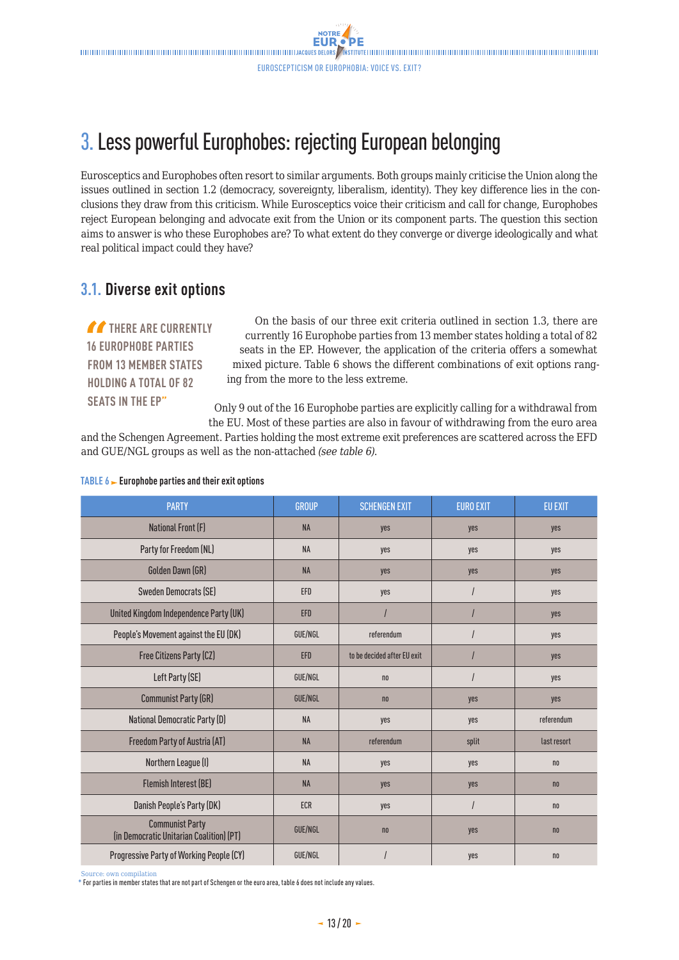# <span id="page-12-0"></span>3. Less powerful Europhobes: rejecting European belonging

Eurosceptics and Europhobes often resort to similar arguments. Both groups mainly criticise the Union along the issues outlined in section 1.2 (democracy, sovereignty, liberalism, identity). They key difference lies in the conclusions they draw from this criticism. While Eurosceptics voice their criticism and call for change, Europhobes reject European belonging and advocate exit from the Union or its component parts. The question this section aims to answer is who these Europhobes are? To what extent do they converge or diverge ideologically and what real political impact could they have?

### **3.1. Diverse exit options**

**THERE ARE CURRENTLY 16 EUROPHOBE PARTIES FROM 13 MEMBER STATES HOLDING A TOTAL OF 82 SEATS IN THE EP"**

On the basis of our three exit criteria outlined in section 1.3, there are currently 16 Europhobe parties from 13 member states holding a total of 82 seats in the EP. However, the application of the criteria offers a somewhat mixed picture. Table 6 shows the different combinations of exit options ranging from the more to the less extreme.

Only 9 out of the 16 Europhobe parties are explicitly calling for a withdrawal from the EU. Most of these parties are also in favour of withdrawing from the euro area

and the Schengen Agreement. Parties holding the most extreme exit preferences are scattered across the EFD and GUE/NGL groups as well as the non-attached *(see table 6)*.

| <b>PARTY</b>                                                       | <b>GROUP</b>   | <b>SCHENGEN EXIT</b>        | <b>EURO EXIT</b> | <b>EU EXIT</b> |
|--------------------------------------------------------------------|----------------|-----------------------------|------------------|----------------|
| National Front (F)                                                 | <b>NA</b>      | yes                         | yes              | yes            |
| Party for Freedom (NL)                                             | <b>NA</b>      | yes                         | yes              | yes            |
| Golden Dawn (GR)                                                   | <b>NA</b>      | yes                         | yes              | yes            |
| Sweden Democrats (SE)                                              | EFD            | yes                         |                  | yes            |
| United Kingdom Independence Party (UK)                             | <b>EFD</b>     |                             |                  | yes            |
| People's Movement against the EU (DK)                              | <b>GUE/NGL</b> | referendum                  |                  | yes            |
| Free Citizens Party (CZ)                                           | EFD            | to be decided after EU exit |                  | yes            |
| Left Party (SE)                                                    | <b>GUE/NGL</b> | n <sub>0</sub>              |                  | yes            |
| <b>Communist Party (GR)</b>                                        | GUE/NGL        | n <sub>0</sub>              | yes              | yes            |
| <b>National Democratic Party (D)</b>                               | <b>NA</b>      | yes                         | yes              | referendum     |
| Freedom Party of Austria (AT)                                      | <b>NA</b>      | referendum                  | split            | last resort    |
| Northern League (I)                                                | <b>NA</b>      | yes                         | yes              | n <sub>0</sub> |
| <b>Flemish Interest (BE)</b>                                       | <b>NA</b>      | yes                         | yes              | n <sub>0</sub> |
| Danish People's Party (DK)                                         | <b>ECR</b>     | yes                         |                  | n <sub>0</sub> |
| <b>Communist Party</b><br>(in Democratic Unitarian Coalition) (PT) | GUE/NGL        | n <sub>0</sub>              | yes              | n <sub>0</sub> |
| <b>Progressive Party of Working People (CY)</b>                    | GUE/NGL        |                             | yes              | n <sub>0</sub> |

#### **TABLE 6 Europhobe parties and their exit options**

Source: own compilation

**\*** For parties in member states that are not part of Schengen or the euro area, table 6 does not include any values.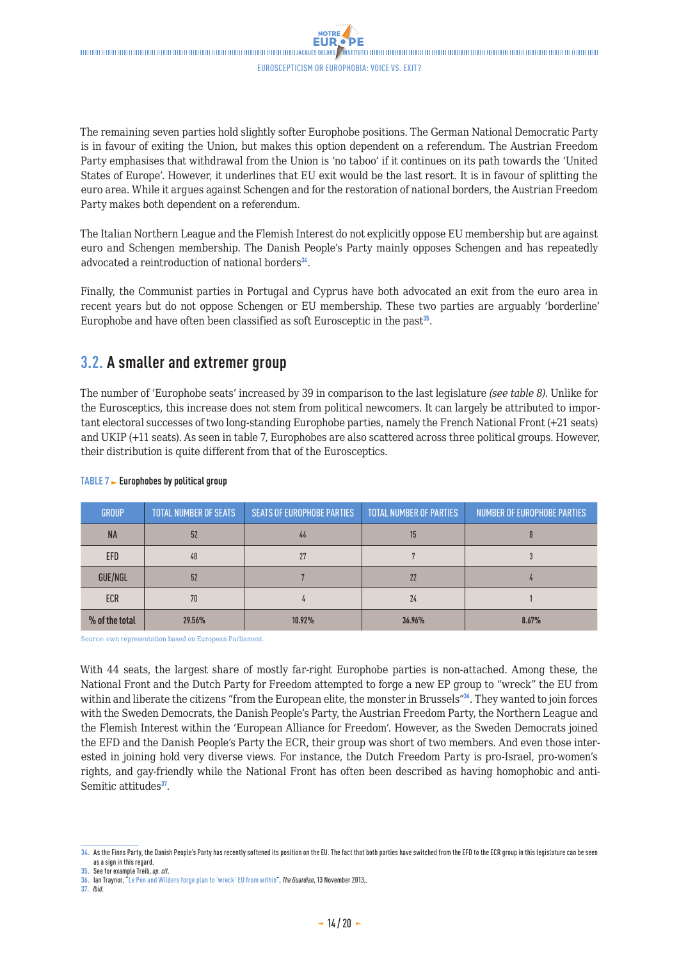<span id="page-13-0"></span>The remaining seven parties hold slightly softer Europhobe positions. The German National Democratic Party is in favour of exiting the Union, but makes this option dependent on a referendum. The Austrian Freedom Party emphasises that withdrawal from the Union is 'no taboo' if it continues on its path towards the 'United States of Europe'. However, it underlines that EU exit would be the last resort. It is in favour of splitting the euro area. While it argues against Schengen and for the restoration of national borders, the Austrian Freedom Party makes both dependent on a referendum.

The Italian Northern League and the Flemish Interest do not explicitly oppose EU membership but are against euro and Schengen membership. The Danish People's Party mainly opposes Schengen and has repeatedly advocated a reintroduction of national borders<sup>34</sup>.

Finally, the Communist parties in Portugal and Cyprus have both advocated an exit from the euro area in recent years but do not oppose Schengen or EU membership. These two parties are arguably 'borderline' Europhobe and have often been classified as soft Eurosceptic in the past $35$ .

### **3.2. A smaller and extremer group**

The number of 'Europhobe seats' increased by 39 in comparison to the last legislature *(see table 8)*. Unlike for the Eurosceptics, this increase does not stem from political newcomers. It can largely be attributed to important electoral successes of two long-standing Europhobe parties, namely the French National Front (+21 seats) and UKIP (+11 seats). As seen in table 7, Europhobes are also scattered across three political groups. However, their distribution is quite different from that of the Eurosceptics.

| <b>GROUP</b>   | <b>TOTAL NUMBER OF SEATS</b> | <b>SEATS OF EUROPHOBE PARTIES</b> | <b>TOTAL NUMBER OF PARTIES</b> | <b>NUMBER OF EUROPHOBE PARTIES</b> |
|----------------|------------------------------|-----------------------------------|--------------------------------|------------------------------------|
| <b>NA</b>      | 52                           | 44                                | 15                             |                                    |
| <b>EFD</b>     | 48                           |                                   |                                |                                    |
| GUE/NGL        | 52                           |                                   | 22                             |                                    |
| <b>ECR</b>     | 70                           |                                   | 24                             |                                    |
| % of the total | 29.56%                       | 10.92%                            | 36.96%                         | 8.67%                              |

#### **TABLE 7 Europhobes by political group**

Source: own representation based on European Parliament.

With 44 seats, the largest share of mostly far-right Europhobe parties is non-attached. Among these, the National Front and the Dutch Party for Freedom attempted to forge a new EP group to "wreck" the EU from within and liberate the citizens "from the European elite, the monster in Brussels"<sup>36</sup>. They wanted to join forces with the Sweden Democrats, the Danish People's Party, the Austrian Freedom Party, the Northern League and the Flemish Interest within the 'European Alliance for Freedom'. However, as the Sweden Democrats joined the EFD and the Danish People's Party the ECR, their group was short of two members. And even those interested in joining hold very diverse views. For instance, the Dutch Freedom Party is pro-Israel, pro-women's rights, and gay-friendly while the National Front has often been described as having homophobic and anti-Semitic attitudes<sup>37</sup>.

**<sup>34.</sup>** As the Finns Party, the Danish People's Party has recently softened its position on the EU. The fact that both parties have switched from the EFD to the ECR group in this legislature can be seen as a sign in this regard.

**<sup>35.</sup>** See for example Treib, *op. cit*.

**<sup>36.</sup>** Ian Traynor, "[Le Pen and Wilders forge plan to 'wreck' EU from within"](http://www.theguardian.com/politics/2013/nov/13/le-pen-wilders-alliance-plan-wreck-eu), *The Guardian*, 13 November 2013,.

**<sup>37.</sup>** *Ibid*.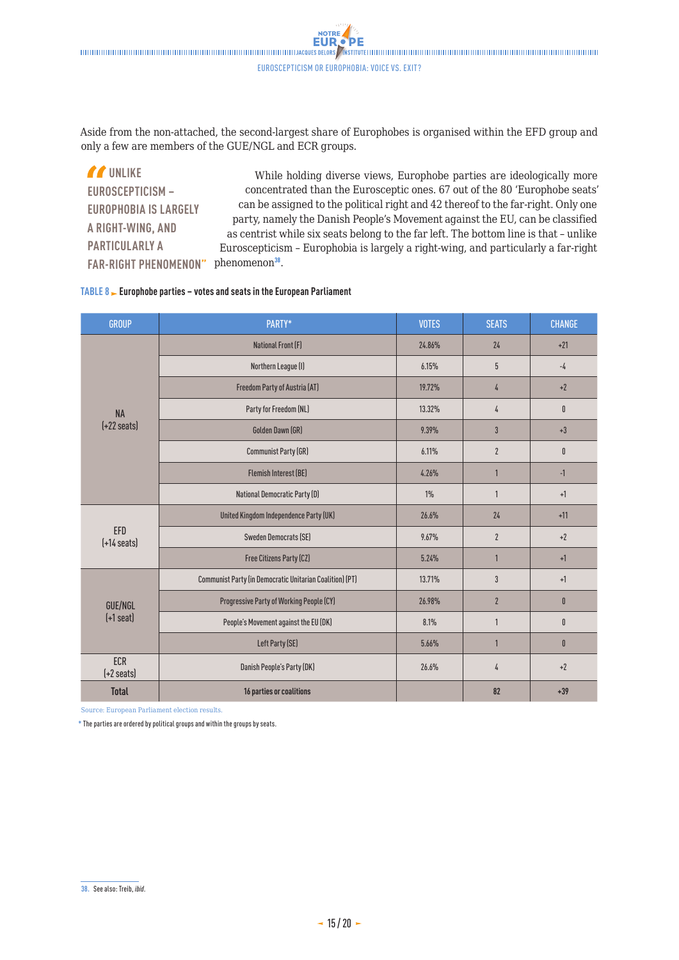**NOTRE EUR** 

Aside from the non-attached, the second-largest share of Europhobes is organised within the EFD group and only a few are members of the GUE/NGL and ECR groups.

*If* UNLIKE **EUROSCEPTICISM – EUROPHOBIA IS LARGELY A RIGHT-WING, AND PARTICULARLY A**  FAR-RIGHT PHENOMENON" phenomenon<sup>38</sup>. While holding diverse views, Europhobe parties are ideologically more concentrated than the Eurosceptic ones. 67 out of the 80 'Europhobe seats' can be assigned to the political right and 42 thereof to the far-right. Only one party, namely the Danish People's Movement against the EU, can be classified as centrist while six seats belong to the far left. The bottom line is that – unlike Euroscepticism – Europhobia is largely a right-wing, and particularly a far-right

#### **TABLE 8 Europhobe parties – votes and seats in the European Parliament**

| <b>GROUP</b>                 | PARTY*                                                   | <b>VOTES</b> | <b>SEATS</b>   | <b>CHANGE</b> |
|------------------------------|----------------------------------------------------------|--------------|----------------|---------------|
|                              | <b>National Front (F)</b>                                | 24.86%       | 24             | $+21$         |
|                              | Northern League (I)                                      | 6.15%        | 5              | $-4$          |
|                              | Freedom Party of Austria (AT)                            | 19.72%       | 4              | $+2$          |
| <b>NA</b>                    | Party for Freedom (NL)                                   | 13.32%       | 4              | $\mathbf{0}$  |
| $(+22 \text{ seats})$        | Golden Dawn (GR)                                         | 9.39%        | 3              | $+3$          |
|                              | <b>Communist Party (GR)</b>                              | 6.11%        | $\overline{2}$ | $\mathbf{0}$  |
|                              | <b>Flemish Interest (BE)</b>                             | 4.26%        | $\overline{1}$ | $-1$          |
|                              | National Democratic Party (D)                            | $1\%$        | 1              | $+1$          |
| EFD<br>$[-14 \text{ seats}]$ | United Kingdom Independence Party (UK)                   | 26.6%        | 24             | $+11$         |
|                              | <b>Sweden Democrats (SE)</b>                             | 9.67%        | $\overline{2}$ | $+2$          |
|                              | Free Citizens Party (CZ)                                 | 5.24%        | $\mathbf{1}$   | $+1$          |
|                              | Communist Party (in Democratic Unitarian Coalition) (PT) | 13.71%       | 3              | $+1$          |
| GUE/NGL                      | Progressive Party of Working People (CY)                 | 26.98%       | $\overline{2}$ | $\mathbf{0}$  |
| $(+1$ seat)                  | People's Movement against the EU (DK)                    | 8.1%         | 1              | $\mathbf{0}$  |
|                              | Left Party (SE)                                          | 5.66%        | 1              | $\mathbf{0}$  |
| ECR<br>$[-2 \text{ seats}]$  | Danish People's Party (DK)                               | 26.6%        | 4              | $+2$          |
| <b>Total</b>                 | 16 parties or coalitions                                 |              | 82             | $+39$         |

Source: European Parliament election results.

**\*** The parties are ordered by political groups and within the groups by seats.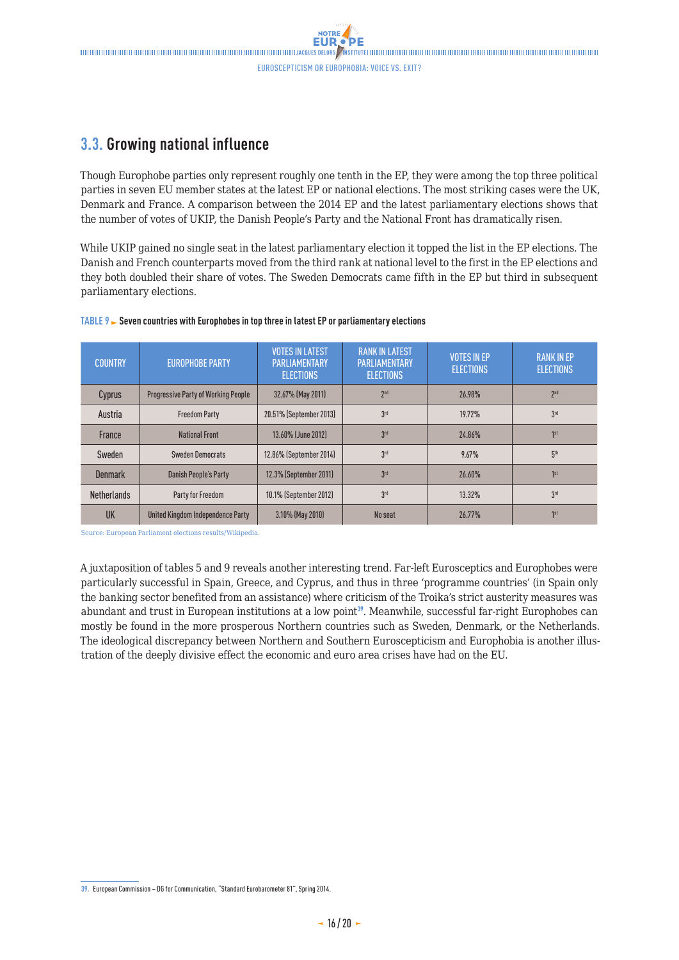### <span id="page-15-0"></span>**3.3. Growing national influence**

Though Europhobe parties only represent roughly one tenth in the EP, they were among the top three political parties in seven EU member states at the latest EP or national elections. The most striking cases were the UK, Denmark and France. A comparison between the 2014 EP and the latest parliamentary elections shows that the number of votes of UKIP, the Danish People's Party and the National Front has dramatically risen.

While UKIP gained no single seat in the latest parliamentary election it topped the list in the EP elections. The Danish and French counterparts moved from the third rank at national level to the first in the EP elections and they both doubled their share of votes. The Sweden Democrats came fifth in the EP but third in subsequent parliamentary elections.

| <b>COUNTRY</b>     | <b>EUROPHOBE PARTY</b>                     | <b>VOTES IN LATEST</b><br><b>PARLIAMENTARY</b><br><b>ELECTIONS</b> | <b>RANK IN LATEST</b><br><b>PARLIAMENTARY</b><br><b>ELECTIONS</b> | <b>VOTES IN EP</b><br><b>ELECTIONS</b> | <b>RANK IN EP</b><br><b>ELECTIONS</b> |
|--------------------|--------------------------------------------|--------------------------------------------------------------------|-------------------------------------------------------------------|----------------------------------------|---------------------------------------|
| Cyprus             | <b>Progressive Party of Working People</b> | 32.67% (May 2011)                                                  | 2 <sup>nd</sup>                                                   | 26.98%                                 | 2 <sub>nd</sub>                       |
| Austria            | <b>Freedom Party</b>                       | 20.51% (September 2013)                                            | 3 <sup>rd</sup>                                                   | <b>19.72%</b>                          | 3 <sup>rd</sup>                       |
| France             | <b>National Front</b>                      | 13.60% (June 2012)                                                 | 3rd                                                               | 24.86%                                 | 1st                                   |
| Sweden             | <b>Sweden Democrats</b>                    | 12.86% (September 2014)                                            | 3 <sup>rd</sup>                                                   | 9.67%                                  | 5 <sup>th</sup>                       |
| <b>Denmark</b>     | Danish People's Party                      | 12.3% (September 2011)                                             | 3 <sup>rd</sup>                                                   | 26.60%                                 | 1 <sup>st</sup>                       |
| <b>Netherlands</b> | Party for Freedom                          | 10.1% (September 2012)                                             | 3 <sup>rd</sup>                                                   | 13.32%                                 | 3 <sup>rd</sup>                       |
| UK                 | United Kingdom Independence Party          | 3.10% (May 2010)                                                   | No seat                                                           | 26.77%                                 | 1st                                   |

#### **TABLE 9 Seven countries with Europhobes in top three in latest EP or parliamentary elections**

Source: European Parliament elections results/Wikipedia.

A juxtaposition of tables 5 and 9 reveals another interesting trend. Far-left Eurosceptics and Europhobes were particularly successful in Spain, Greece, and Cyprus, and thus in three 'programme countries' (in Spain only the banking sector benefited from an assistance) where criticism of the Troika's strict austerity measures was abundant and trust in European institutions at a low point<sup>39</sup>. Meanwhile, successful far-right Europhobes can mostly be found in the more prosperous Northern countries such as Sweden, Denmark, or the Netherlands. The ideological discrepancy between Northern and Southern Euroscepticism and Europhobia is another illustration of the deeply divisive effect the economic and euro area crises have had on the EU.

**<sup>39.</sup>** European Commission – DG for Communication, "Standard Eurobarometer 81", Spring 2014.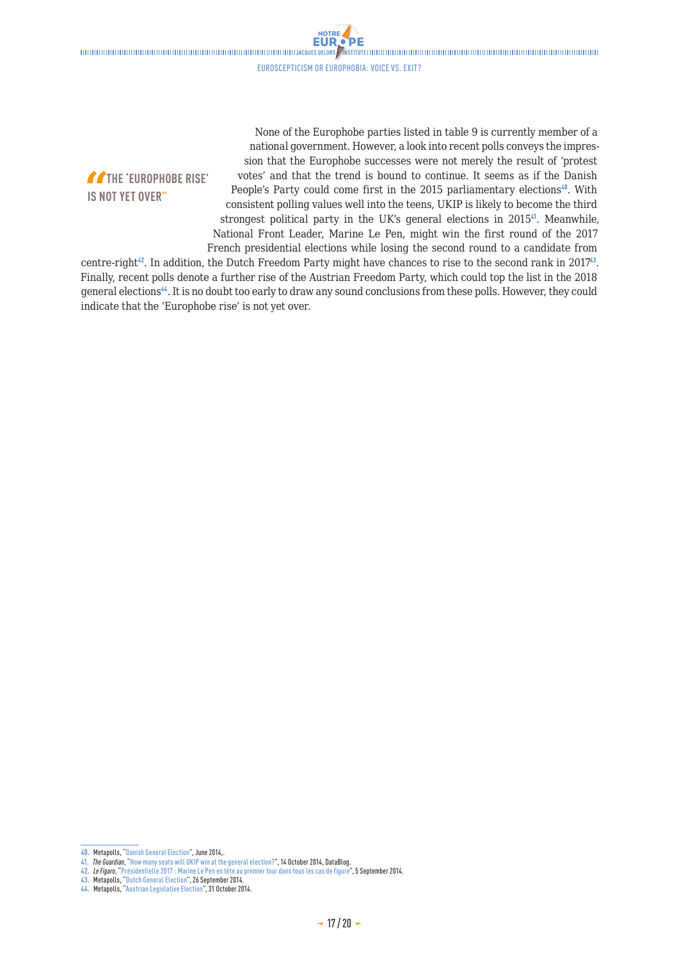$\blacksquare$ 

Euroscepticism or Europhobia: voice vs. exit?

NOTRE **EUR** 

**THE 'EUROPHOBE RISE' IS NOT YET OVER"**

None of the Europhobe parties listed in table 9 is currently member of a national government. However, a look into recent polls conveys the impression that the Europhobe successes were not merely the result of 'protest votes' and that the trend is bound to continue. It seems as if the Danish People's Party could come first in the 2015 parliamentary elections<sup>40</sup>. With consistent polling values well into the teens, UKIP is likely to become the third strongest political party in the UK's general elections in 2015<sup>4</sup>. Meanwhile, National Front Leader, Marine Le Pen, might win the first round of the 2017 French presidential elections while losing the second round to a candidate from

centre-right<sup>42</sup>. In addition, the Dutch Freedom Party might have chances to rise to the second rank in  $2017^{43}$ . Finally, recent polls denote a further rise of the Austrian Freedom Party, which could top the list in the 2018 general elections<sup>44</sup>. It is no doubt too early to draw any sound conclusions from these polls. However, they could indicate that the 'Europhobe rise' is not yet over.

**<sup>40.</sup>** Metapolls, "[Danish General Election](http://metapolls.net/category/europe/denmark-europe/#.VGCUJfmG9qU)", June 2014,.

**<sup>41.</sup>** *The Guardian*, ["How many seats will UKIP win at the general election?"](http://www.theguardian.com/news/datablog/2014/oct/14/ukip-seats-general-election-2015), 14 October 2014, DataBlog.

**<sup>42.</sup>** *Le Figaro*, ["Présidentielle 2017 : Marine Le Pen en tête au premier tour dans tous les cas de figure"](http://www.lefigaro.fr/politique/2014/09/05/01002-20140905ARTFIG00167-sondage-marine-le-pen-en-tete-de-la-presidentielle-dans-tous-les-cas-de-figure.php), 5 September 2014.

**<sup>43.</sup>** Metapolls, "[Dutch General Election"](http://metapolls.net/category/europe/netherlands/#.VFzmDvmG9qU), 26 September 2014.

**<sup>44.</sup>** Metapolls, ["Austrian Legislative Election"](http://metapolls.net/category/europe/austria/#.VFzm3_mG9qU), 31 October 2014.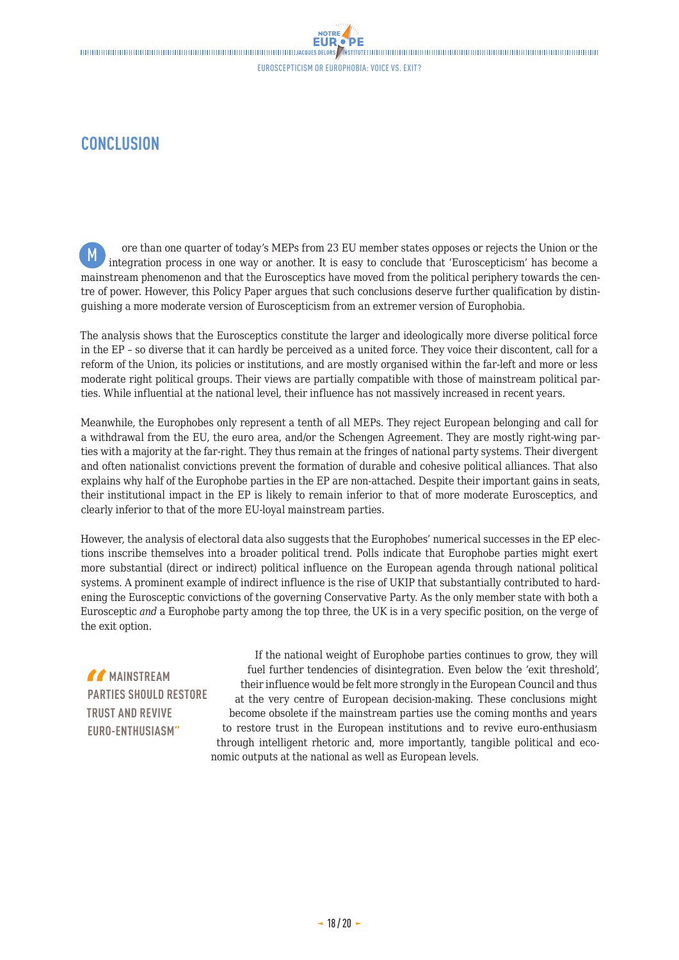### <span id="page-17-0"></span>**CONCLUSION**

ore than one quarter of today's MEPs from 23 EU member states opposes or rejects the Union or the integration process in one way or another. It is easy to conclude that 'Euroscepticism' has become a mainstream phenomenon and that the Eurosceptics have moved from the political periphery towards the centre of power. However, this Policy Paper argues that such conclusions deserve further qualification by distinguishing a more moderate version of Euroscepticism from an extremer version of Europhobia. M

The analysis shows that the Eurosceptics constitute the larger and ideologically more diverse political force in the EP – so diverse that it can hardly be perceived as a united force. They voice their discontent, call for a reform of the Union, its policies or institutions, and are mostly organised within the far-left and more or less moderate right political groups. Their views are partially compatible with those of mainstream political parties. While influential at the national level, their influence has not massively increased in recent years.

Meanwhile, the Europhobes only represent a tenth of all MEPs. They reject European belonging and call for a withdrawal from the EU, the euro area, and/or the Schengen Agreement. They are mostly right-wing parties with a majority at the far-right. They thus remain at the fringes of national party systems. Their divergent and often nationalist convictions prevent the formation of durable and cohesive political alliances. That also explains why half of the Europhobe parties in the EP are non-attached. Despite their important gains in seats, their institutional impact in the EP is likely to remain inferior to that of more moderate Eurosceptics, and clearly inferior to that of the more EU-loyal mainstream parties.

However, the analysis of electoral data also suggests that the Europhobes' numerical successes in the EP elections inscribe themselves into a broader political trend. Polls indicate that Europhobe parties might exert more substantial (direct or indirect) political influence on the European agenda through national political systems. A prominent example of indirect influence is the rise of UKIP that substantially contributed to hardening the Eurosceptic convictions of the governing Conservative Party. As the only member state with both a Eurosceptic *and* a Europhobe party among the top three, the UK is in a very specific position, on the verge of the exit option.

*MAINSTREAM* **PARTIES SHOULD RESTORE TRUST AND REVIVE EURO-ENTHUSIASM"**

If the national weight of Europhobe parties continues to grow, they will fuel further tendencies of disintegration. Even below the 'exit threshold', their influence would be felt more strongly in the European Council and thus at the very centre of European decision-making. These conclusions might become obsolete if the mainstream parties use the coming months and years to restore trust in the European institutions and to revive euro-enthusiasm through intelligent rhetoric and, more importantly, tangible political and economic outputs at the national as well as European levels.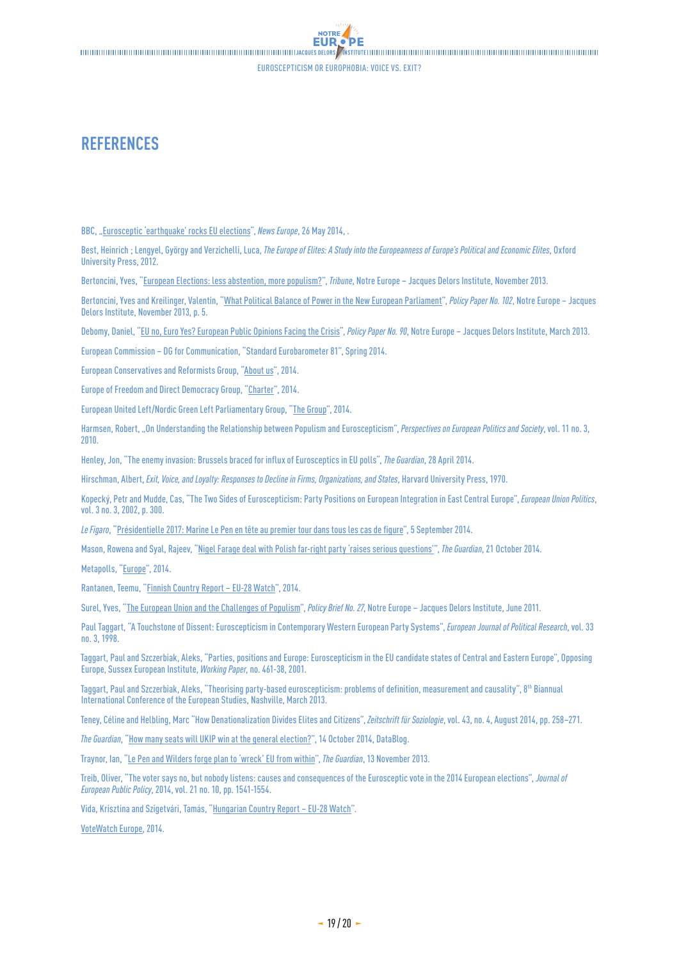'DE

NOTRE. EUR.

### <span id="page-18-0"></span>**REFERENCES**

BBC, ["Eurosceptic 'earthquake' rocks EU elections"](http://www.bbc.com/news/world-europe-27559714), *News Europe*, 26 May 2014, .

Best, Heinrich; Lengyel, György and Verzichelli, Luca, *The Europe of Elites: A Study into the Europeanness of Europe's Political and Economic Elites*, Oxford University Press, 2012.

Bertoncini, Yves, "[European Elections: less abstention, more populism?](http://www.eng.notre-europe.eu/011-17103-Elections-europeennes-moins-d-abstention-plus-de-populisme.html)", *Tribune*, Notre Europe – Jacques Delors Institute, November 2013.

Bertoncini, Yves and Kreilinger, Valentin, "[What Political Balance of Power in the New European Parliament"](http://www.eng.notre-europe.eu/011-17193-What-political-balance-of-power-in-the-next-European-Parliament.html), *Policy Paper No. 102*, Notre Europe – Jacques Delors Institute, November 2013, p. 5.

Debomy, Daniel, "[EU no, Euro Yes? European Public Opinions Facing the Crisis"](http://www.eng.notre-europe.eu/011-15775-EU-no-euro-yes.html), *Policy Paper No. 90*, Notre Europe – Jacques Delors Institute, March 2013.

European Commission – DG for Communication, "Standard Eurobarometer 81", Spring 2014.

European Conservatives and Reformists Group, ["About us"](http://ecrgroup.eu/about-us/the-ecr-in-the-european-parliament/), 2014.

Europe of Freedom and Direct Democracy Group, "[Charter](http://www.efdgroup.eu/about-us/our-charter)", 2014.

European United Left/Nordic Green Left Parliamentary Group, "[The Group](http://www.guengl.eu/group/about)", 2014.

Harmsen, Robert, "On Understanding the Relationship between Populism and Euroscepticism", *Perspectives on European Politics and Society*, vol. 11 no. 3, 2010.

Henley, Jon, ["The enemy invasion: Brussels braced for influx of Eurosceptics in EU polls](http://www.theguardian.com/world/2014/apr/28/brussels-braced-influx-eurosceptics-parties-european-union-polls)", *The Guardian*, 28 April 2014.

Hirschman, Albert, *Exit, Voice, and Loyalty: Responses to Decline in Firms, Organizations, and States*, Harvard University Press, 1970.

Kopecký, Petr and Mudde, Cas, "The Two Sides of Euroscepticism: Party Positions on European Integration in East Central Europe", *European Union Politics*, vol. 3 no. 3, 2002, p. 300.

*Le Figaro*, "[Présidentielle 2017: Marine Le Pen en tête au premier tour dans tous les cas de figure"](http://www.lefigaro.fr/politique/2014/09/05/01002-20140905ARTFIG00167-sondage-marine-le-pen-en-tete-de-la-presidentielle-dans-tous-les-cas-de-figure.php), 5 September 2014.

Mason, Rowena and Syal, Rajeev, "[Nigel Farage deal with Polish far-right party 'raises serious questions'"](http://www.theguardian.com/politics/2014/oct/21/nigel-farage-jews-polish-far-right-ukip-deal-robert-iwaszkiewicz), *The Guardian*, 21 October 2014.

Metapolls, "[Europe"](http://metapolls.net/category/europe/austria/), 2014.

Rantanen, Teemu, "[Finnish Country Report – EU-28 Watch](http://www.eu-28watch.org/?q=node/1153)", 2014.

Surel, Yves, "The European Union and the Challenges of Populism", *Policy Brief No. 27*, Notre Europe – Jacques Delors Institute, June 2011.

Paul Taggart, "A Touchstone of Dissent: Euroscepticism in Contemporary Western European Party Systems", *European Journal of Political Research*, vol. 33 no. 3, 1998.

Taggart, Paul and Szczerbiak, Aleks, "Parties, positions and Europe: Euroscepticism in the EU candidate states of Central and Eastern Europe", Opposing Europe, Sussex European Institute, *Working Paper*, no. 461-38, 2001.

Taggart, Paul and Szczerbiak, Aleks, "Theorising party-based euroscepticism: problems of definition, measurement and causality", 8<sup>th</sup> Biannual International Conference of the European Studies, Nashville, March 2013.

Teney, Céline and Helbling, Marc "How Denationalization Divides Elites and Citizens", *Zeitschrift für Soziologie*, vol. 43, no. 4, August 2014, pp. 258–271.

*The Guardian*, "[How many seats will UKIP win at the general election?](, http:/www.theguardian.com/news/datablog/2014/oct/14/ukip-seats-general-election-2015)", 14 October 2014, DataBlog.

Traynor, Ian, ["Le Pen and Wilders forge plan to 'wreck' EU from within](http://www.theguardian.com/politics/2013/nov/13/le-pen-wilders-alliance-plan-wreck-eu)", *The Guardian*, 13 November 2013.

Treib, Oliver, "The voter says no, but nobody listens: causes and consequences of the Eurosceptic vote in the 2014 European elections", *Journal of European Public Policy*, 2014, vol. 21 no. 10, pp. 1541-1554.

Vida, Krisztina and Szigetvári, Tamás, "[Hungarian Country Report – EU-28 Watch"](http://www.eu-28watch.org/?q=node/1204).

[VoteWatch Europe,](http://www.votewatch.eu/en/term8-political-group-cohesion.html) 2014.